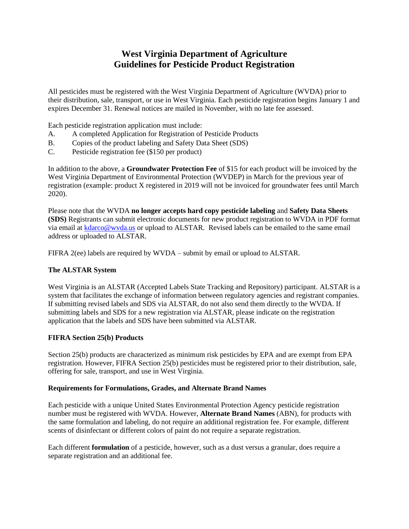# **West Virginia Department of Agriculture Guidelines for Pesticide Product Registration**

All pesticides must be registered with the West Virginia Department of Agriculture (WVDA) prior to their distribution, sale, transport, or use in West Virginia. Each pesticide registration begins January 1 and expires December 31. Renewal notices are mailed in November, with no late fee assessed.

Each pesticide registration application must include:

- A. A completed Application for Registration of Pesticide Products
- B. Copies of the product labeling and Safety Data Sheet (SDS)
- C. Pesticide registration fee (\$150 per product)

In addition to the above, a **Groundwater Protection Fee** of \$15 for each product will be invoiced by the West Virginia Department of Environmental Protection (WVDEP) in March for the previous year of registration (example: product X registered in 2019 will not be invoiced for groundwater fees until March 2020).

Please note that the WVDA **no longer accepts hard copy pesticide labeling** and **Safety Data Sheets (SDS)** Registrants can submit electronic documents for new product registration to WVDA in PDF format via email at [kdarco@wvda.us](mailto:kdarco@wvda.us) or upload to ALSTAR. Revised labels can be emailed to the same email address or uploaded to ALSTAR.

FIFRA 2(ee) labels are required by WVDA – submit by email or upload to ALSTAR.

## **The ALSTAR System**

West Virginia is an ALSTAR (Accepted Labels State Tracking and Repository) participant. ALSTAR is a system that facilitates the exchange of information between regulatory agencies and registrant companies. If submitting revised labels and SDS via ALSTAR, do not also send them directly to the WVDA. If submitting labels and SDS for a new registration via ALSTAR, please indicate on the registration application that the labels and SDS have been submitted via ALSTAR.

## **FIFRA Section 25(b) Products**

Section 25(b) products are characterized as minimum risk pesticides by EPA and are exempt from EPA registration. However, FIFRA Section 25(b) pesticides must be registered prior to their distribution, sale, offering for sale, transport, and use in West Virginia.

## **Requirements for Formulations, Grades, and Alternate Brand Names**

Each pesticide with a unique United States Environmental Protection Agency pesticide registration number must be registered with WVDA. However, **Alternate Brand Names** (ABN), for products with the same formulation and labeling, do not require an additional registration fee. For example, different scents of disinfectant or different colors of paint do not require a separate registration.

Each different **formulation** of a pesticide, however, such as a dust versus a granular, does require a separate registration and an additional fee.